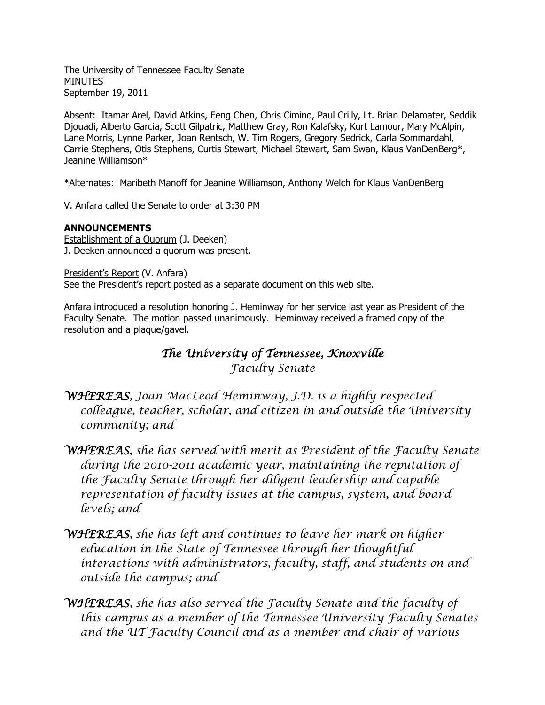The University of Tennessee Faculty Senate MINUTES September 19, 2011

Absent: Itamar Arel, David Atkins, Feng Chen, Chris Cimino, Paul Crilly, Lt. Brian Delamater, Seddik Djouadi, Alberto Garcia, Scott Gilpatric, Matthew Gray, Ron Kalafsky, Kurt Lamour, Mary McAlpin, Lane Morris, Lynne Parker, Joan Rentsch, W. Tim Rogers, Gregory Sedrick, Carla Sommardahl, Carrie Stephens, Otis Stephens, Curtis Stewart, Michael Stewart, Sam Swan, Klaus VanDenBerg\*, Jeanine Williamson\*

\*Alternates: Maribeth Manoff for Jeanine Williamson, Anthony Welch for Klaus VanDenBerg

V. Anfara called the Senate to order at 3:30 PM

### **ANNOUNCEMENTS**

Establishment of a Quorum (J. Deeken) J. Deeken announced a quorum was present.

President's Report (V. Anfara) See the President's report posted as a separate document on this web site.

Anfara introduced a resolution honoring J. Heminway for her service last year as President of the Faculty Senate. The motion passed unanimously. Heminway received a framed copy of the resolution and a plaque/gavel.

# *The University of Tennessee, Knoxville Faculty Senate*

- *WHEREAS, Joan MacLeod Heminway, J.D. is a highly respected colleague, teacher, scholar, and citizen in and outside the University community; and*
- *WHEREAS, she has served with merit as President of the Faculty Senate during the 2010-2011 academic year, maintaining the reputation of the Faculty Senate through her diligent leadership and capable representation of faculty issues at the campus, system, and board levels; and*
- *WHEREAS, she has left and continues to leave her mark on higher education in the State of Tennessee through her thoughtful interactions with administrators, faculty, staff, and students on and outside the campus; and*
- *WHEREAS, she has also served the Faculty Senate and the faculty of this campus as a member of the Tennessee University Faculty Senates and the UT Faculty Council and as a member and chair of various*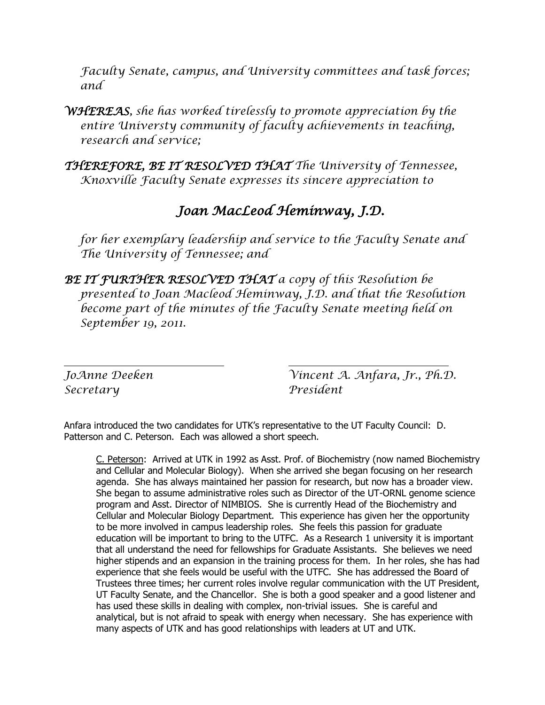*Faculty Senate, campus, and University committees and task forces; and*

*WHEREAS, she has worked tirelessly to promote appreciation by the entire Universty community of faculty achievements in teaching, research and service;*

*THEREFORE, BE IT RESOLVED THAT The University of Tennessee, Knoxville Faculty Senate expresses its sincere appreciation to*

# *Joan MacLeod Heminway, J.D.*

*for her exemplary leadership and service to the Faculty Senate and The University of Tennessee; and*

*BE IT FURTHER RESOLVED THAT a copy of this Resolution be presented to Joan Macleod Heminway, J.D. and that the Resolution become part of the minutes of the Faculty Senate meeting held on September 19, 2011.*

*Secretary President*

*JoAnne Deeken Vincent A. Anfara, Jr., Ph.D.*

Anfara introduced the two candidates for UTK's representative to the UT Faculty Council: D. Patterson and C. Peterson. Each was allowed a short speech.

C. Peterson: Arrived at UTK in 1992 as Asst. Prof. of Biochemistry (now named Biochemistry and Cellular and Molecular Biology). When she arrived she began focusing on her research agenda. She has always maintained her passion for research, but now has a broader view. She began to assume administrative roles such as Director of the UT-ORNL genome science program and Asst. Director of NIMBIOS. She is currently Head of the Biochemistry and Cellular and Molecular Biology Department. This experience has given her the opportunity to be more involved in campus leadership roles. She feels this passion for graduate education will be important to bring to the UTFC. As a Research 1 university it is important that all understand the need for fellowships for Graduate Assistants. She believes we need higher stipends and an expansion in the training process for them. In her roles, she has had experience that she feels would be useful with the UTFC. She has addressed the Board of Trustees three times; her current roles involve regular communication with the UT President, UT Faculty Senate, and the Chancellor. She is both a good speaker and a good listener and has used these skills in dealing with complex, non-trivial issues. She is careful and analytical, but is not afraid to speak with energy when necessary. She has experience with many aspects of UTK and has good relationships with leaders at UT and UTK.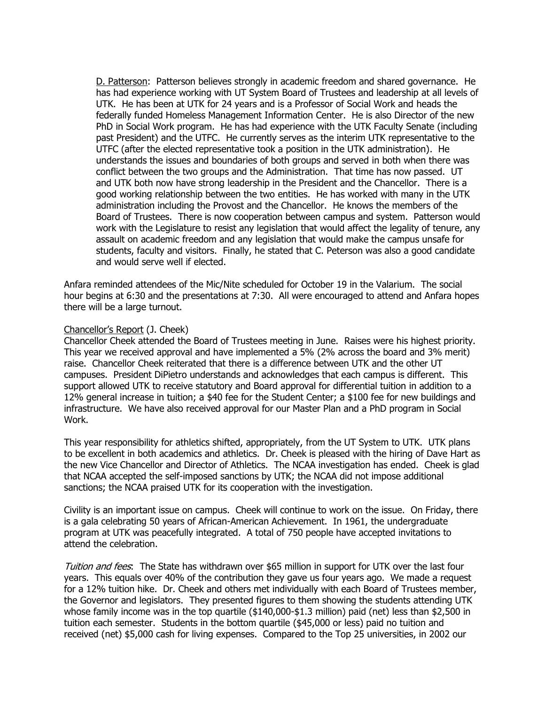D. Patterson: Patterson believes strongly in academic freedom and shared governance. He has had experience working with UT System Board of Trustees and leadership at all levels of UTK. He has been at UTK for 24 years and is a Professor of Social Work and heads the federally funded Homeless Management Information Center. He is also Director of the new PhD in Social Work program. He has had experience with the UTK Faculty Senate (including past President) and the UTFC. He currently serves as the interim UTK representative to the UTFC (after the elected representative took a position in the UTK administration). He understands the issues and boundaries of both groups and served in both when there was conflict between the two groups and the Administration. That time has now passed. UT and UTK both now have strong leadership in the President and the Chancellor. There is a good working relationship between the two entities. He has worked with many in the UTK administration including the Provost and the Chancellor. He knows the members of the Board of Trustees. There is now cooperation between campus and system. Patterson would work with the Legislature to resist any legislation that would affect the legality of tenure, any assault on academic freedom and any legislation that would make the campus unsafe for students, faculty and visitors. Finally, he stated that C. Peterson was also a good candidate and would serve well if elected.

Anfara reminded attendees of the Mic/Nite scheduled for October 19 in the Valarium. The social hour begins at 6:30 and the presentations at 7:30. All were encouraged to attend and Anfara hopes there will be a large turnout.

#### Chancellor's Report (J. Cheek)

Chancellor Cheek attended the Board of Trustees meeting in June. Raises were his highest priority. This year we received approval and have implemented a 5% (2% across the board and 3% merit) raise. Chancellor Cheek reiterated that there is a difference between UTK and the other UT campuses. President DiPietro understands and acknowledges that each campus is different. This support allowed UTK to receive statutory and Board approval for differential tuition in addition to a 12% general increase in tuition; a \$40 fee for the Student Center; a \$100 fee for new buildings and infrastructure. We have also received approval for our Master Plan and a PhD program in Social Work.

This year responsibility for athletics shifted, appropriately, from the UT System to UTK. UTK plans to be excellent in both academics and athletics. Dr. Cheek is pleased with the hiring of Dave Hart as the new Vice Chancellor and Director of Athletics. The NCAA investigation has ended. Cheek is glad that NCAA accepted the self-imposed sanctions by UTK; the NCAA did not impose additional sanctions; the NCAA praised UTK for its cooperation with the investigation.

Civility is an important issue on campus. Cheek will continue to work on the issue. On Friday, there is a gala celebrating 50 years of African-American Achievement. In 1961, the undergraduate program at UTK was peacefully integrated. A total of 750 people have accepted invitations to attend the celebration.

Tuition and fees: The State has withdrawn over \$65 million in support for UTK over the last four years. This equals over 40% of the contribution they gave us four years ago. We made a request for a 12% tuition hike. Dr. Cheek and others met individually with each Board of Trustees member, the Governor and legislators. They presented figures to them showing the students attending UTK whose family income was in the top quartile (\$140,000-\$1.3 million) paid (net) less than \$2,500 in tuition each semester. Students in the bottom quartile (\$45,000 or less) paid no tuition and received (net) \$5,000 cash for living expenses. Compared to the Top 25 universities, in 2002 our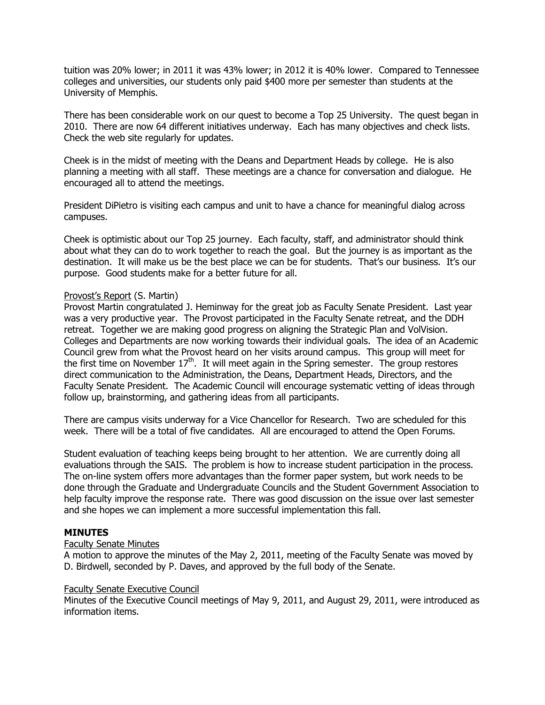tuition was 20% lower; in 2011 it was 43% lower; in 2012 it is 40% lower. Compared to Tennessee colleges and universities, our students only paid \$400 more per semester than students at the University of Memphis.

There has been considerable work on our quest to become a Top 25 University. The quest began in 2010. There are now 64 different initiatives underway. Each has many objectives and check lists. Check the web site regularly for updates.

Cheek is in the midst of meeting with the Deans and Department Heads by college. He is also planning a meeting with all staff. These meetings are a chance for conversation and dialogue. He encouraged all to attend the meetings.

President DiPietro is visiting each campus and unit to have a chance for meaningful dialog across campuses.

Cheek is optimistic about our Top 25 journey. Each faculty, staff, and administrator should think about what they can do to work together to reach the goal. But the journey is as important as the destination. It will make us be the best place we can be for students. That's our business. It's our purpose. Good students make for a better future for all.

#### Provost's Report (S. Martin)

Provost Martin congratulated J. Heminway for the great job as Faculty Senate President. Last year was a very productive year. The Provost participated in the Faculty Senate retreat, and the DDH retreat. Together we are making good progress on aligning the Strategic Plan and VolVision. Colleges and Departments are now working towards their individual goals. The idea of an Academic Council grew from what the Provost heard on her visits around campus. This group will meet for the first time on November  $17<sup>th</sup>$ . It will meet again in the Spring semester. The group restores direct communication to the Administration, the Deans, Department Heads, Directors, and the Faculty Senate President. The Academic Council will encourage systematic vetting of ideas through follow up, brainstorming, and gathering ideas from all participants.

There are campus visits underway for a Vice Chancellor for Research. Two are scheduled for this week. There will be a total of five candidates. All are encouraged to attend the Open Forums.

Student evaluation of teaching keeps being brought to her attention. We are currently doing all evaluations through the SAIS. The problem is how to increase student participation in the process. The on-line system offers more advantages than the former paper system, but work needs to be done through the Graduate and Undergraduate Councils and the Student Government Association to help faculty improve the response rate. There was good discussion on the issue over last semester and she hopes we can implement a more successful implementation this fall.

#### **MINUTES**

#### Faculty Senate Minutes

A motion to approve the minutes of the May 2, 2011, meeting of the Faculty Senate was moved by D. Birdwell, seconded by P. Daves, and approved by the full body of the Senate.

#### Faculty Senate Executive Council

Minutes of the Executive Council meetings of May 9, 2011, and August 29, 2011, were introduced as information items.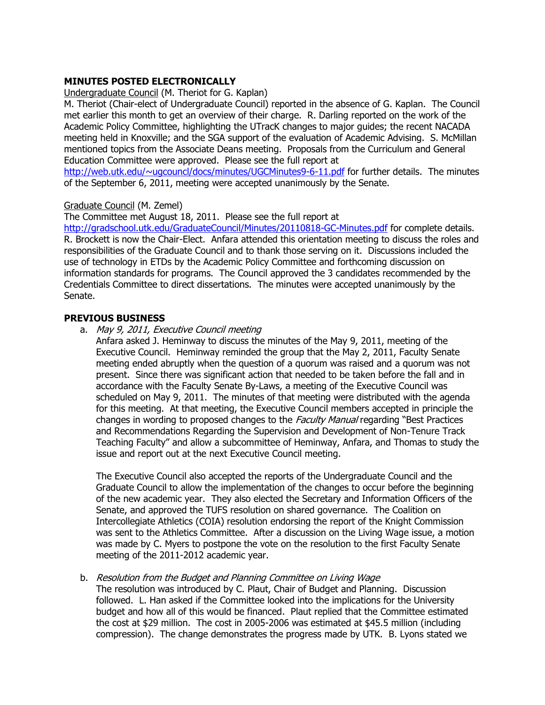## **MINUTES POSTED ELECTRONICALLY**

Undergraduate Council (M. Theriot for G. Kaplan)

M. Theriot (Chair-elect of Undergraduate Council) reported in the absence of G. Kaplan. The Council met earlier this month to get an overview of their charge. R. Darling reported on the work of the Academic Policy Committee, highlighting the UTracK changes to major guides; the recent NACADA meeting held in Knoxville; and the SGA support of the evaluation of Academic Advising. S. McMillan mentioned topics from the Associate Deans meeting. Proposals from the Curriculum and General Education Committee were approved. Please see the full report at

<http://web.utk.edu/~ugcouncl/docs/minutes/UGCMinutes9-6-11.pdf> for further details. The minutes of the September 6, 2011, meeting were accepted unanimously by the Senate.

#### Graduate Council (M. Zemel)

The Committee met August 18, 2011. Please see the full report at

<http://gradschool.utk.edu/GraduateCouncil/Minutes/20110818-GC-Minutes.pdf> for complete details. R. Brockett is now the Chair-Elect. Anfara attended this orientation meeting to discuss the roles and responsibilities of the Graduate Council and to thank those serving on it. Discussions included the use of technology in ETDs by the Academic Policy Committee and forthcoming discussion on information standards for programs. The Council approved the 3 candidates recommended by the Credentials Committee to direct dissertations. The minutes were accepted unanimously by the Senate.

#### **PREVIOUS BUSINESS**

a. May 9, 2011, Executive Council meeting

Anfara asked J. Heminway to discuss the minutes of the May 9, 2011, meeting of the Executive Council. Heminway reminded the group that the May 2, 2011, Faculty Senate meeting ended abruptly when the question of a quorum was raised and a quorum was not present. Since there was significant action that needed to be taken before the fall and in accordance with the Faculty Senate By-Laws, a meeting of the Executive Council was scheduled on May 9, 2011. The minutes of that meeting were distributed with the agenda for this meeting. At that meeting, the Executive Council members accepted in principle the changes in wording to proposed changes to the *Faculty Manual* regarding "Best Practices" and Recommendations Regarding the Supervision and Development of Non-Tenure Track Teaching Faculty" and allow a subcommittee of Heminway, Anfara, and Thomas to study the issue and report out at the next Executive Council meeting.

The Executive Council also accepted the reports of the Undergraduate Council and the Graduate Council to allow the implementation of the changes to occur before the beginning of the new academic year. They also elected the Secretary and Information Officers of the Senate, and approved the TUFS resolution on shared governance. The Coalition on Intercollegiate Athletics (COIA) resolution endorsing the report of the Knight Commission was sent to the Athletics Committee. After a discussion on the Living Wage issue, a motion was made by C. Myers to postpone the vote on the resolution to the first Faculty Senate meeting of the 2011-2012 academic year.

#### b. Resolution from the Budget and Planning Committee on Living Wage

The resolution was introduced by C. Plaut, Chair of Budget and Planning. Discussion followed. L. Han asked if the Committee looked into the implications for the University budget and how all of this would be financed. Plaut replied that the Committee estimated the cost at \$29 million. The cost in 2005-2006 was estimated at \$45.5 million (including compression). The change demonstrates the progress made by UTK. B. Lyons stated we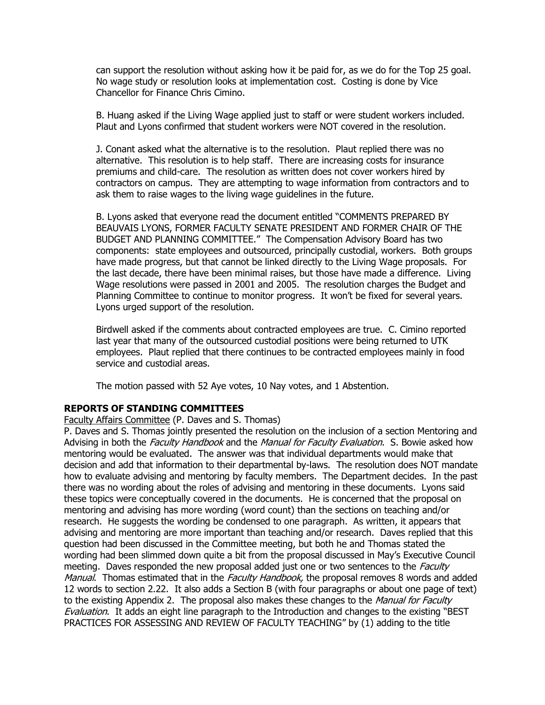can support the resolution without asking how it be paid for, as we do for the Top 25 goal. No wage study or resolution looks at implementation cost. Costing is done by Vice Chancellor for Finance Chris Cimino.

B. Huang asked if the Living Wage applied just to staff or were student workers included. Plaut and Lyons confirmed that student workers were NOT covered in the resolution.

J. Conant asked what the alternative is to the resolution. Plaut replied there was no alternative. This resolution is to help staff. There are increasing costs for insurance premiums and child-care. The resolution as written does not cover workers hired by contractors on campus. They are attempting to wage information from contractors and to ask them to raise wages to the living wage guidelines in the future.

B. Lyons asked that everyone read the document entitled "COMMENTS PREPARED BY BEAUVAIS LYONS, FORMER FACULTY SENATE PRESIDENT AND FORMER CHAIR OF THE BUDGET AND PLANNING COMMITTEE." The Compensation Advisory Board has two components: state employees and outsourced, principally custodial, workers. Both groups have made progress, but that cannot be linked directly to the Living Wage proposals. For the last decade, there have been minimal raises, but those have made a difference. Living Wage resolutions were passed in 2001 and 2005. The resolution charges the Budget and Planning Committee to continue to monitor progress. It won't be fixed for several years. Lyons urged support of the resolution.

Birdwell asked if the comments about contracted employees are true. C. Cimino reported last year that many of the outsourced custodial positions were being returned to UTK employees. Plaut replied that there continues to be contracted employees mainly in food service and custodial areas.

The motion passed with 52 Aye votes, 10 Nay votes, and 1 Abstention.

#### **REPORTS OF STANDING COMMITTEES**

Faculty Affairs Committee (P. Daves and S. Thomas)

P. Daves and S. Thomas jointly presented the resolution on the inclusion of a section Mentoring and Advising in both the *Faculty Handbook* and the Manual for Faculty Evaluation. S. Bowie asked how mentoring would be evaluated. The answer was that individual departments would make that decision and add that information to their departmental by-laws. The resolution does NOT mandate how to evaluate advising and mentoring by faculty members. The Department decides. In the past there was no wording about the roles of advising and mentoring in these documents. Lyons said these topics were conceptually covered in the documents. He is concerned that the proposal on mentoring and advising has more wording (word count) than the sections on teaching and/or research. He suggests the wording be condensed to one paragraph. As written, it appears that advising and mentoring are more important than teaching and/or research. Daves replied that this question had been discussed in the Committee meeting, but both he and Thomas stated the wording had been slimmed down quite a bit from the proposal discussed in May's Executive Council meeting. Daves responded the new proposal added just one or two sentences to the *Faculty* Manual. Thomas estimated that in the Faculty Handbook, the proposal removes 8 words and added 12 words to section 2.22. It also adds a Section B (with four paragraphs or about one page of text) to the existing Appendix 2. The proposal also makes these changes to the Manual for Faculty Evaluation. It adds an eight line paragraph to the Introduction and changes to the existing "BEST PRACTICES FOR ASSESSING AND REVIEW OF FACULTY TEACHING" by (1) adding to the title